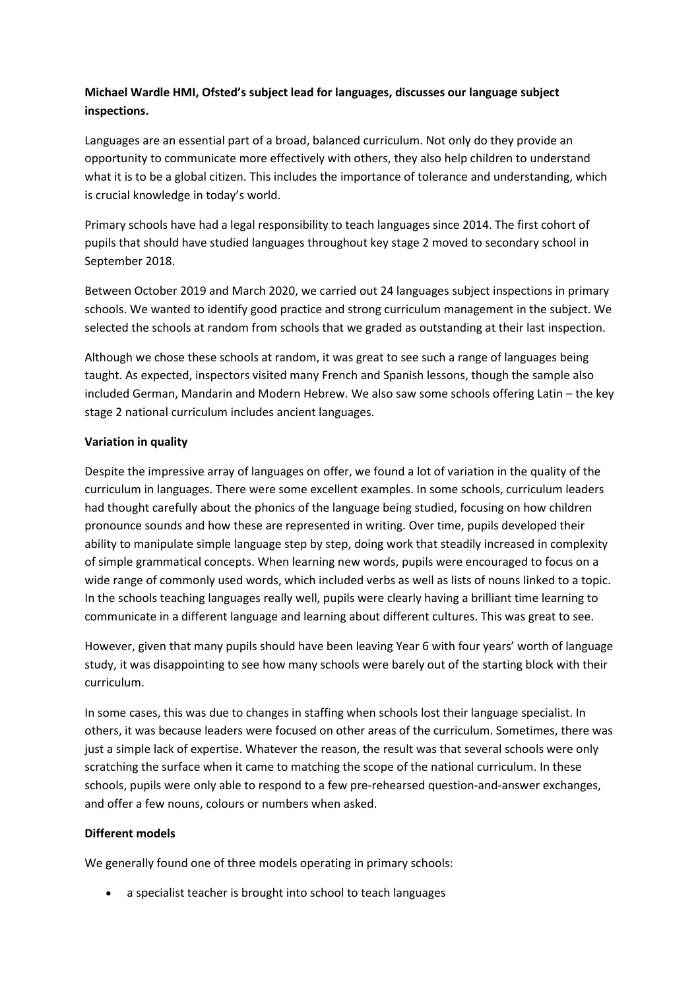# **Michael Wardle HMI, Ofsted's subject lead for languages, discusses our language subject inspections.**

Languages are an essential part of a broad, balanced curriculum. Not only do they provide an opportunity to communicate more effectively with others, they also help children to understand what it is to be a global citizen. This includes the importance of tolerance and understanding, which is crucial knowledge in today's world.

Primary schools have had a legal responsibility to teach languages since 2014. The first cohort of pupils that should have studied languages throughout key stage 2 moved to secondary school in September 2018.

Between October 2019 and March 2020, we carried out 24 languages subject inspections in primary schools. We wanted to identify good practice and strong curriculum management in the subject. We selected the schools at random from schools that we graded as outstanding at their last inspection.

Although we chose these schools at random, it was great to see such a range of languages being taught. As expected, inspectors visited many French and Spanish lessons, though the sample also included German, Mandarin and Modern Hebrew. We also saw some schools offering Latin – the key stage 2 national curriculum includes ancient languages.

## **Variation in quality**

Despite the impressive array of languages on offer, we found a lot of variation in the quality of the curriculum in languages. There were some excellent examples. In some schools, curriculum leaders had thought carefully about the phonics of the language being studied, focusing on how children pronounce sounds and how these are represented in writing. Over time, pupils developed their ability to manipulate simple language step by step, doing work that steadily increased in complexity of simple grammatical concepts. When learning new words, pupils were encouraged to focus on a wide range of commonly used words, which included verbs as well as lists of nouns linked to a topic. In the schools teaching languages really well, pupils were clearly having a brilliant time learning to communicate in a different language and learning about different cultures. This was great to see.

However, given that many pupils should have been leaving Year 6 with four years' worth of language study, it was disappointing to see how many schools were barely out of the starting block with their curriculum.

In some cases, this was due to changes in staffing when schools lost their language specialist. In others, it was because leaders were focused on other areas of the curriculum. Sometimes, there was just a simple lack of expertise. Whatever the reason, the result was that several schools were only scratching the surface when it came to matching the scope of the national curriculum. In these schools, pupils were only able to respond to a few pre-rehearsed question-and-answer exchanges, and offer a few nouns, colours or numbers when asked.

### **Different models**

We generally found one of three models operating in primary schools:

a specialist teacher is brought into school to teach languages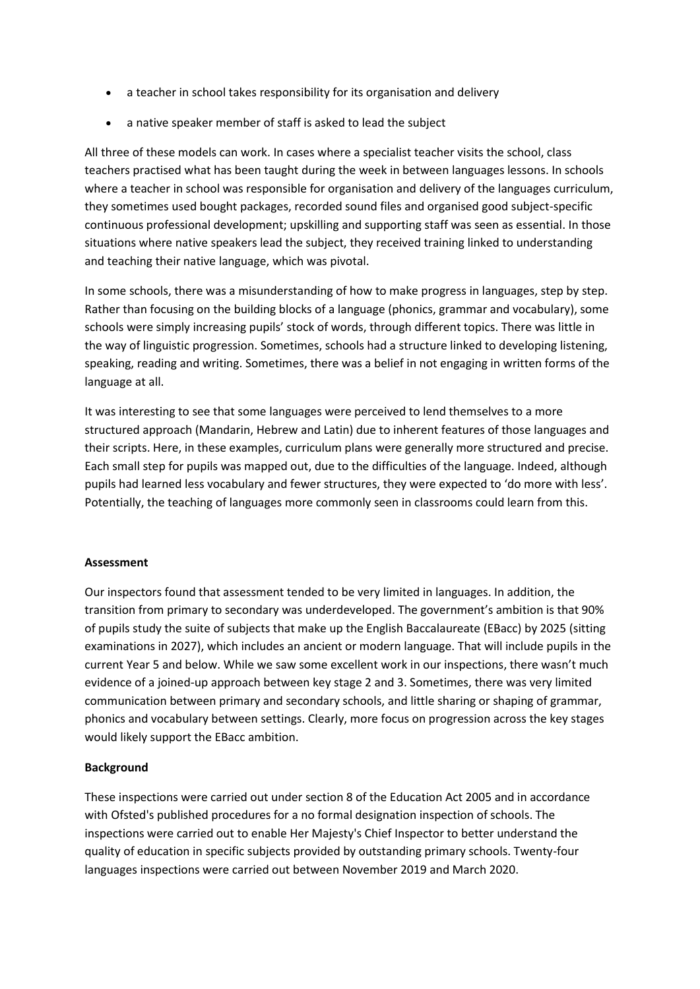- a teacher in school takes responsibility for its organisation and delivery
- a native speaker member of staff is asked to lead the subject

All three of these models can work. In cases where a specialist teacher visits the school, class teachers practised what has been taught during the week in between languages lessons. In schools where a teacher in school was responsible for organisation and delivery of the languages curriculum, they sometimes used bought packages, recorded sound files and organised good subject-specific continuous professional development; upskilling and supporting staff was seen as essential. In those situations where native speakers lead the subject, they received training linked to understanding and teaching their native language, which was pivotal.

In some schools, there was a misunderstanding of how to make progress in languages, step by step. Rather than focusing on the building blocks of a language (phonics, grammar and vocabulary), some schools were simply increasing pupils' stock of words, through different topics. There was little in the way of linguistic progression. Sometimes, schools had a structure linked to developing listening, speaking, reading and writing. Sometimes, there was a belief in not engaging in written forms of the language at all.

It was interesting to see that some languages were perceived to lend themselves to a more structured approach (Mandarin, Hebrew and Latin) due to inherent features of those languages and their scripts. Here, in these examples, curriculum plans were generally more structured and precise. Each small step for pupils was mapped out, due to the difficulties of the language. Indeed, although pupils had learned less vocabulary and fewer structures, they were expected to 'do more with less'. Potentially, the teaching of languages more commonly seen in classrooms could learn from this.

### **Assessment**

Our inspectors found that assessment tended to be very limited in languages. In addition, the transition from primary to secondary was underdeveloped. The government's ambition is that 90% of pupils study the suite of subjects that make up the English Baccalaureate (EBacc) by 2025 (sitting examinations in 2027), which includes an ancient or modern language. That will include pupils in the current Year 5 and below. While we saw some excellent work in our inspections, there wasn't much evidence of a joined-up approach between key stage 2 and 3. Sometimes, there was very limited communication between primary and secondary schools, and little sharing or shaping of grammar, phonics and vocabulary between settings. Clearly, more focus on progression across the key stages would likely support the EBacc ambition.

### **Background**

These inspections were carried out under section 8 of the Education Act 2005 and in accordance with Ofsted's published procedures for a no formal designation inspection of schools. The inspections were carried out to enable Her Majesty's Chief Inspector to better understand the quality of education in specific subjects provided by outstanding primary schools. Twenty-four languages inspections were carried out between November 2019 and March 2020.